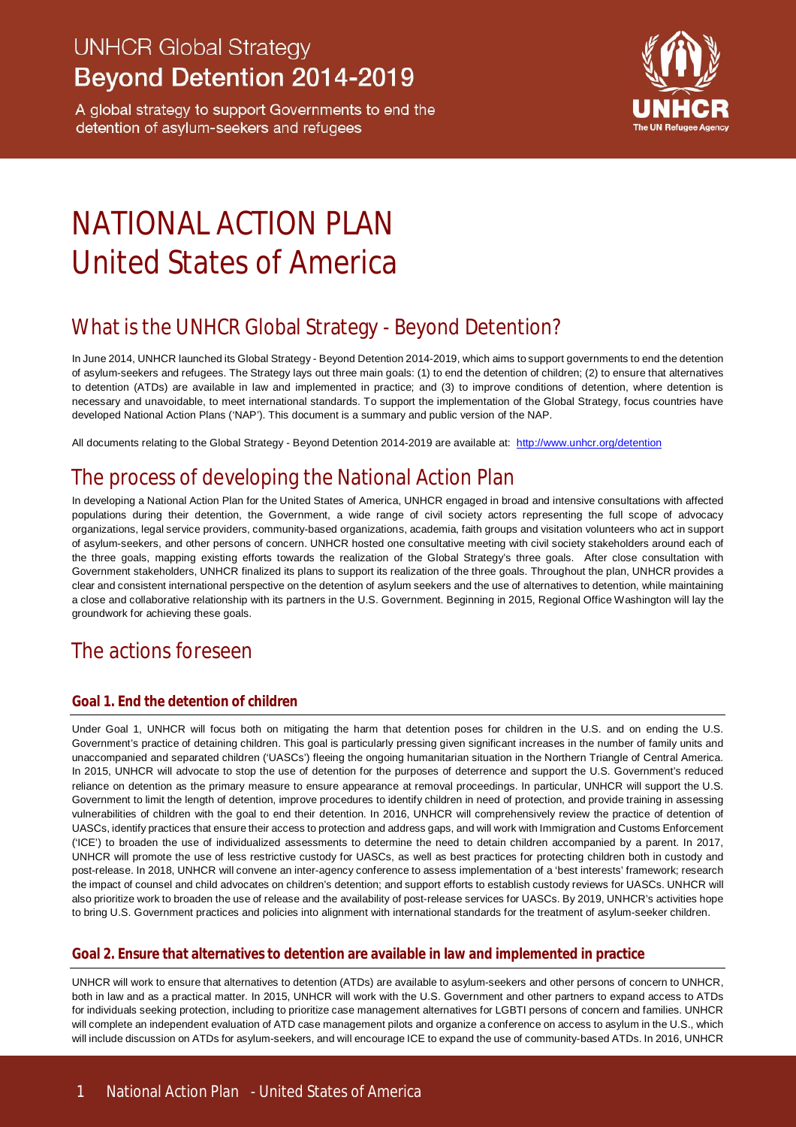## **UNHCR Global Strategy Beyond Detention 2014-2019**

A global strategy to support Governments to end the detention of asylum-seekers and refugees



# NATIONAL ACTION PI AN United States of America

### What is the UNHCR Global Strategy - Beyond Detention?

In June 2014, UNHCR launched its Global Strategy - Beyond Detention 2014-2019, which aims to support governments to end the detention of asylum-seekers and refugees. The Strategy lays out three main goals: (1) to end the detention of children; (2) to ensure that alternatives to detention (ATDs) are available in law and implemented in practice; and (3) to improve conditions of detention, where detention is necessary and unavoidable, to meet international standards. To support the implementation of the Global Strategy, focus countries have developed National Action Plans ('NAP'). This document is a summary and public version of the NAP.

All documents relating to the Global Strategy - Beyond Detention 2014-2019 are available at: http://www.unhcr.org/detention

### The process of developing the National Action Plan

In developing a National Action Plan for the United States of America, UNHCR engaged in broad and intensive consultations with affected populations during their detention, the Government, a wide range of civil society actors representing the full scope of advocacy organizations, legal service providers, community-based organizations, academia, faith groups and visitation volunteers who act in support of asylum-seekers, and other persons of concern. UNHCR hosted one consultative meeting with civil society stakeholders around each of the three goals, mapping existing efforts towards the realization of the Global Strategy's three goals. After close consultation with Government stakeholders, UNHCR finalized its plans to support its realization of the three goals. Throughout the plan, UNHCR provides a clear and consistent international perspective on the detention of asylum seekers and the use of alternatives to detention, while maintaining a close and collaborative relationship with its partners in the U.S. Government. Beginning in 2015, Regional Office Washington will lay the groundwork for achieving these goals.

### The actions foreseen

#### **Goal 1. End the detention of children**

Under Goal 1, UNHCR will focus both on mitigating the harm that detention poses for children in the U.S. and on ending the U.S. Government's practice of detaining children. This goal is particularly pressing given significant increases in the number of family units and unaccompanied and separated children ('UASCs') fleeing the ongoing humanitarian situation in the Northern Triangle of Central America. In 2015, UNHCR will advocate to stop the use of detention for the purposes of deterrence and support the U.S. Government's reduced reliance on detention as the primary measure to ensure appearance at removal proceedings. In particular, UNHCR will support the U.S. Government to limit the length of detention, improve procedures to identify children in need of protection, and provide training in assessing vulnerabilities of children with the goal to end their detention. In 2016, UNHCR will comprehensively review the practice of detention of UASCs, identify practices that ensure their access to protection and address gaps, and will work with Immigration and Customs Enforcement ('ICE') to broaden the use of individualized assessments to determine the need to detain children accompanied by a parent. In 2017, UNHCR will promote the use of less restrictive custody for UASCs, as well as best practices for protecting children both in custody and post-release. In 2018, UNHCR will convene an inter-agency conference to assess implementation of a 'best interests' framework; research the impact of counsel and child advocates on children's detention; and support efforts to establish custody reviews for UASCs. UNHCR will also prioritize work to broaden the use of release and the availability of post-release services for UASCs. By 2019, UNHCR's activities hope to bring U.S. Government practices and policies into alignment with international standards for the treatment of asylum-seeker children.

#### **Goal 2. Ensure that alternatives to detention are available in law and implemented in practice**

UNHCR will work to ensure that alternatives to detention (ATDs) are available to asylum-seekers and other persons of concern to UNHCR, both in law and as a practical matter. In 2015, UNHCR will work with the U.S. Government and other partners to expand access to ATDs for individuals seeking protection, including to prioritize case management alternatives for LGBTI persons of concern and families. UNHCR will complete an independent evaluation of ATD case management pilots and organize a conference on access to asylum in the U.S., which will include discussion on ATDs for asylum-seekers, and will encourage ICE to expand the use of community-based ATDs. In 2016, UNHCR